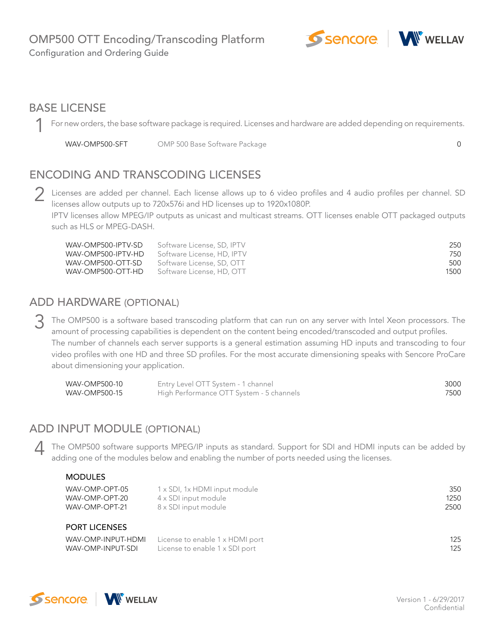

# BASE LICENSE

For new orders, the base software package is required. Licenses and hardware are added depending on requirements. 1

WAV-OMP500-SFT 0 OMP 500 Base Software Package

# ENCODING AND TRANSCODING LICENSES

2 Licenses are added per channel. Each license allows up to 6 video profiles and 4 audio profiles per channel. SD<br>licenses allow outputs up to 720x576i and HD licenses up to 1920x1080P licenses allow outputs up to 720x576i and HD licenses up to 1920x1080P.

IPTV licenses allow MPEG/IP outputs as unicast and multicast streams. OTT licenses enable OTT packaged outputs such as HLS or MPEG-DASH.

| WAV-OMP500-IPTV-SD | Software License, SD, IPTV | 250  |
|--------------------|----------------------------|------|
| WAV-OMP500-IPTV-HD | Software License, HD, IPTV | 750  |
| WAV-OMP500-OTT-SD  | Software License, SD, OTT  | 500  |
| WAV-OMP500-OTT-HD  | Software License, HD, OTT  | 1500 |

### ADD HARDWARE (OPTIONAL)

The OMP500 is a software based transcoding platform that can run on any server with Intel Xeon processors. The amount of processing capabilities is dependent on the content being encoded/transcoded and output profiles amount of processing capabilities is dependent on the content being encoded/transcoded and output profiles. The number of channels each server supports is a general estimation assuming HD inputs and transcoding to four video profiles with one HD and three SD profiles. For the most accurate dimensioning speaks with Sencore ProCare about dimensioning your application.

| WAV-OMP500-10 | Entry Level OTT System - 1 channel       | 3000 |
|---------------|------------------------------------------|------|
| WAV-OMP500-15 | High Performance OTT System - 5 channels | 7500 |

### ADD INPUT MODULE (OPTIONAL)

The OMP500 software supports MPEG/IP inputs as standard. Support for SDI and HDMI inputs can be added by adding one of the modules below and enabling the number of ports needed using the licenses adding one of the modules below and enabling the number of ports needed using the licenses.

#### MODULES

| WAV-OMP-OPT-05<br>WAV-OMP-OPT-20<br>WAV-OMP-OPT-21 | 1 x SDI, 1x HDMI input module<br>4 x SDI input module<br>8 x SDI input module | 350<br>1250<br>2500 |
|----------------------------------------------------|-------------------------------------------------------------------------------|---------------------|
| <b>PORT LICENSES</b>                               |                                                                               |                     |
|                                                    |                                                                               | 10F                 |

|                   | WAV-OMP-INPUT-HDMI License to enable 1 x HDMI port | 125 |
|-------------------|----------------------------------------------------|-----|
| WAV-OMP-INPUT-SDI | License to enable 1 x SDI port                     | 125 |